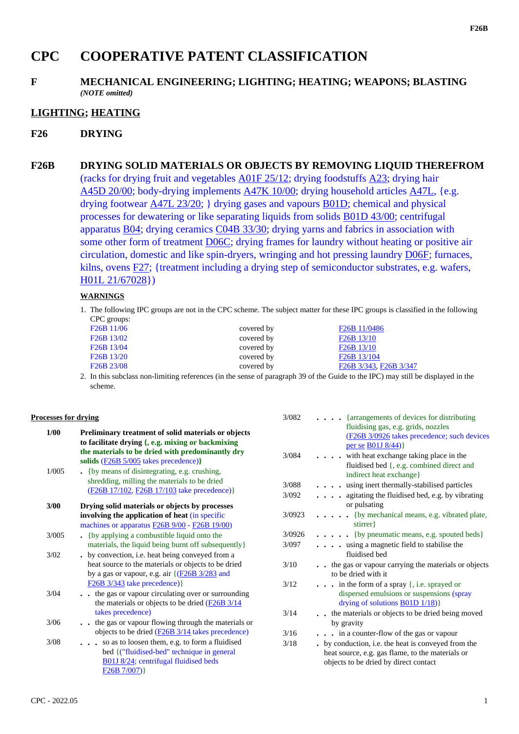# **CPC COOPERATIVE PATENT CLASSIFICATION**

#### **F MECHANICAL ENGINEERING; LIGHTING; HEATING; WEAPONS; BLASTING** *(NOTE omitted)*

## **LIGHTING; HEATING**

### **F26 DRYING**

# **F26B DRYING SOLID MATERIALS OR OBJECTS BY REMOVING LIQUID THEREFROM** (racks for drying fruit and vegetables A01F 25/12; drying foodstuffs A23; drying hair A45D 20/00; body-drying implements A47K 10/00; drying household articles A47L, {e.g. drying footwear A47L 23/20; } drying gases and vapours B01D; chemical and physical processes for dewatering or like separating liquids from solids B01D 43/00; centrifugal apparatus B04; drying ceramics C04B 33/30; drying yarns and fabrics in association with some other form of treatment **D06C**; drying frames for laundry without heating or positive air circulation, domestic and like spin-dryers, wringing and hot pressing laundry D06F; furnaces, kilns, ovens F27; {treatment including a drying step of semiconductor substrates, e.g. wafers, H01L 21/67028})

#### **WARNINGS**

1. The following IPC groups are not in the CPC scheme. The subject matter for these IPC groups is classified in the following CPC groups:

| F <sub>26</sub> B 11/06                         | covered by | F <sub>26</sub> B 11/0486                        |
|-------------------------------------------------|------------|--------------------------------------------------|
| F <sub>26</sub> B 13/02                         | covered by | F <sub>26</sub> B 13/10                          |
| F <sub>26</sub> B <sub>13</sub> /04             | covered by | F <sub>26</sub> B <sub>13</sub> /10              |
| F <sub>26</sub> B <sub>13</sub> / <sub>20</sub> | covered by | F <sub>26</sub> B 13/104                         |
| F <sub>26</sub> B <sub>23</sub> /08             | covered by | F <sub>26</sub> B 3/343, F <sub>26</sub> B 3/347 |
|                                                 |            |                                                  |

2. In this subclass non-limiting references (in the sense of paragraph 39 of the Guide to the IPC) may still be displayed in the scheme.

#### **Processes for drying**

| <b>1/00</b> | Preliminary treatment of solid materials or objects                   |        |
|-------------|-----------------------------------------------------------------------|--------|
|             | to facilitate drying {, e.g. mixing or backmixing                     |        |
|             | the materials to be dried with predominantly dry                      | 3/084  |
|             | solids (F26B 5/005 takes precedence)}                                 |        |
| 1/005       | $\bullet$ {by means of disintegrating, e.g. crushing,                 |        |
|             | shredding, milling the materials to be dried                          | 3/088  |
|             | (F26B 17/102, F26B 17/103 take precedence)}                           | 3/092  |
| 3/00        | Drying solid materials or objects by processes                        |        |
|             | involving the application of heat (in specific                        | 3/0923 |
|             | machines or apparatus <b>F26B 9/00</b> - F26B 19/00)                  |        |
| 3/005       | • {by applying a combustible liquid onto the                          | 3/0926 |
|             | materials, the liquid being burnt off subsequently}                   | 3/097  |
| 3/02        | . by convection, i.e. heat being conveyed from a                      |        |
|             | heat source to the materials or objects to be dried                   | 3/10   |
|             | by a gas or vapour, e.g. air $\{(\underline{F26B} \frac{3}{283})$ and |        |
|             | $F26B$ 3/343 take precedence) }                                       | 3/12   |
| 3/04        | the gas or vapour circulating over or surrounding                     |        |
|             | the materials or objects to be dried $\left(\frac{F26B}{3}\right)/14$ |        |
|             | takes precedence)                                                     | 3/14   |
| 3/06        | the gas or vapour flowing through the materials or                    |        |
|             | objects to be dried $(F26B 3/14)$ takes precedence)                   | 3/16   |
| 3/08        | so as to loosen them, e.g. to form a fluidised                        | 3/18   |
|             | bed { ("fluidised-bed" technique in general                           |        |
|             | B01J 8/24; centrifugal fluidised beds                                 |        |
|             | F26B 7/007)                                                           |        |

| 3/082  | $\cdots$ {arrangements of devices for distributing<br>fluidising gas, e.g. grids, nozzles<br>(F26B 3/0926 takes precedence; such devices |
|--------|------------------------------------------------------------------------------------------------------------------------------------------|
|        | per se <b>B01J</b> 8/44)                                                                                                                 |
| 3/084  | with heat exchange taking place in the<br>fluidised bed {, e.g. combined direct and                                                      |
|        | indirect heat exchange}                                                                                                                  |
| 3/088  | wing inert thermally-stabilised particles                                                                                                |
| 3/092  | agitating the fluidised bed, e.g. by vibrating<br>.<br>or pulsating                                                                      |
| 3/0923 | . {by mechanical means, e.g. vibrated plate,<br>stirrer }                                                                                |
| 3/0926 | $\ldots$ . {by pneumatic means, e.g. spouted beds}                                                                                       |
| 3/097  | . using a magnetic field to stabilise the<br>fluidised bed                                                                               |
| 3/10   | the gas or vapour carrying the materials or objects<br>to be dried with it                                                               |
| 3/12   | $\ldots$ in the form of a spray {, i.e. sprayed or                                                                                       |
|        | dispersed emulsions or suspensions (spray                                                                                                |
|        | drying of solutions $\underline{B01D 1/18})$                                                                                             |
| 3/14   | . the materials or objects to be dried being moved<br>by gravity                                                                         |
| 3/16   | $\cdots$ in a counter-flow of the gas or vapour                                                                                          |
| 3/18   | . by conduction, i.e. the heat is conveyed from the                                                                                      |
|        | heat source, e.g. gas flame, to the materials or                                                                                         |
|        | objects to be dried by direct contact                                                                                                    |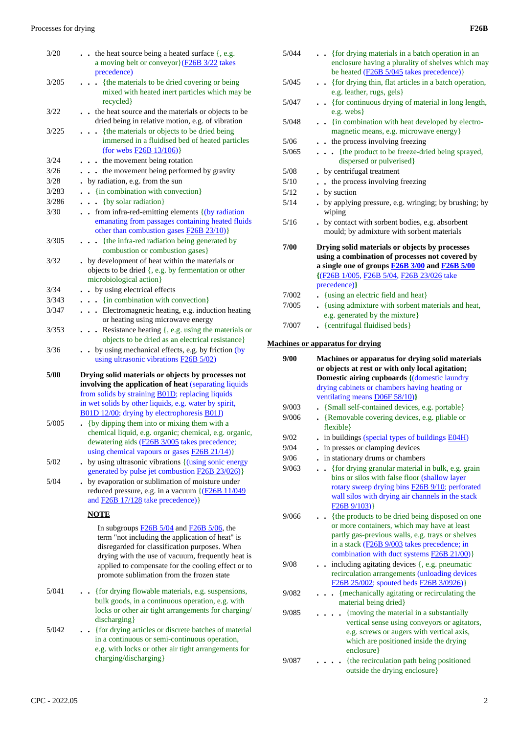| 3/20  | $\bullet$ the heat source being a heated surface $\{, e.g. \}$<br>a moving belt or conveyor } (F26B 3/22 takes<br>precedence)                                                                                                                                                                                                     |
|-------|-----------------------------------------------------------------------------------------------------------------------------------------------------------------------------------------------------------------------------------------------------------------------------------------------------------------------------------|
| 3/205 | {the materials to be dried covering or being<br>mixed with heated inert particles which may be<br>recycled }                                                                                                                                                                                                                      |
| 3/22  | . the heat source and the materials or objects to be<br>dried being in relative motion, e.g. of vibration                                                                                                                                                                                                                         |
| 3/225 | {the materials or objects to be dried being<br>$\ddot{\phantom{a}}$<br>immersed in a fluidised bed of heated particles<br>(for webs $F26B$ 13/106)}                                                                                                                                                                               |
| 3/24  | . . the movement being rotation                                                                                                                                                                                                                                                                                                   |
| 3/26  | the movement being performed by gravity<br>$\bullet$ . $\bullet$                                                                                                                                                                                                                                                                  |
| 3/28  | by radiation, e.g. from the sun                                                                                                                                                                                                                                                                                                   |
| 3/283 | - {in combination with convection}                                                                                                                                                                                                                                                                                                |
| 3/286 | {by solar radiation}<br>$\sim$ $\sim$                                                                                                                                                                                                                                                                                             |
| 3/30  | . from infra-red-emitting elements { (by radiation<br>emanating from passages containing heated fluids<br>other than combustion gases $F26B 23/10$ }                                                                                                                                                                              |
| 3/305 | {the infra-red radiation being generated by<br>$\ddot{\phantom{a}}$<br>combustion or combustion gases}                                                                                                                                                                                                                            |
| 3/32  | by development of heat within the materials or<br>objects to be dried {, e.g. by fermentation or other<br>microbiological action}                                                                                                                                                                                                 |
| 3/34  | • by using electrical effects                                                                                                                                                                                                                                                                                                     |
| 3/343 | . {in combination with convection}                                                                                                                                                                                                                                                                                                |
| 3/347 | . Electromagnetic heating, e.g. induction heating<br>or heating using microwave energy                                                                                                                                                                                                                                            |
| 3/353 | Resistance heating $\{$ , e.g. using the materials or<br>$\ddot{\phantom{0}}$<br>objects to be dried as an electrical resistance}                                                                                                                                                                                                 |
| 3/36  | by using mechanical effects, e.g. by friction (by                                                                                                                                                                                                                                                                                 |
|       | using ultrasonic vibrations <b>F26B 5/02</b> )                                                                                                                                                                                                                                                                                    |
| 5/00  | Drying solid materials or objects by processes not<br>involving the application of heat (separating liquids<br>from solids by straining <b>B01D</b> ; replacing liquids<br>in wet solids by other liquids, e.g. water by spirit,                                                                                                  |
| 5/005 | B01D 12/00; drying by electrophoresis B01J)<br>{by dipping them into or mixing them with a<br>chemical liquid, e.g. organic; chemical, e.g. organic,<br>dewatering aids (F26B 3/005 takes precedence;                                                                                                                             |
| 5/02  | using chemical vapours or gases <b>F26B 21/14</b> )}<br>by using ultrasonic vibrations { (using sonic energy                                                                                                                                                                                                                      |
| 5/04  | generated by pulse jet combustion <b>F26B 23/026</b> )}<br>by evaporation or sublimation of moisture under<br>reduced pressure, e.g. in a vacuum {(F26B 11/049)<br>and $F26B$ 17/128 take precedence) }                                                                                                                           |
|       | <b>NOTE</b>                                                                                                                                                                                                                                                                                                                       |
|       | In subgroups $\underline{F26B}$ 5/04 and $\underline{F26B}$ 5/06, the<br>term "not including the application of heat" is<br>disregarded for classification purposes. When<br>drying with the use of vacuum, frequently heat is<br>applied to compensate for the cooling effect or to<br>promote sublimation from the frozen state |
| 5/041 | {for drying flowable materials, e.g. suspensions,<br>bulk goods, in a continuous operation, e.g. with<br>locks or other air tight arrangements for charging/<br>discharging }                                                                                                                                                     |

e.g. with locks or other air tight arrangements for

charging/discharging}

|              | enclosure having a plurality of shelves which may                                                                                                                                                              |
|--------------|----------------------------------------------------------------------------------------------------------------------------------------------------------------------------------------------------------------|
| 5/045        | be heated $(F26B 5/045$ takes precedence)}                                                                                                                                                                     |
|              | . { for drying thin, flat articles in a batch operation,<br>e.g. leather, rugs, gels}                                                                                                                          |
| 5/047        | • {for continuous drying of material in long length,                                                                                                                                                           |
|              | e.g. webs }                                                                                                                                                                                                    |
| 5/048        | • {in combination with heat developed by electro-                                                                                                                                                              |
|              | magnetic means, e.g. microwave energy}                                                                                                                                                                         |
| $5/06$       | . . the process involving freezing                                                                                                                                                                             |
| 5/065        | {the product to be freeze-dried being sprayed,                                                                                                                                                                 |
|              | dispersed or pulverised}                                                                                                                                                                                       |
| 5/08         | . by centrifugal treatment                                                                                                                                                                                     |
| 5/10         | . the process involving freezing                                                                                                                                                                               |
| 5/12<br>5/14 | . by suction<br>. by applying pressure, e.g. wringing; by brushing; by                                                                                                                                         |
|              | wiping                                                                                                                                                                                                         |
| 5/16         | . by contact with sorbent bodies, e.g. absorbent<br>mould; by admixture with sorbent materials                                                                                                                 |
| 7/00         | Drying solid materials or objects by processes<br>using a combination of processes not covered by<br>a single one of groups <b>F26B 3/00</b> and <b>F26B 5/00</b><br>{(F26B 1/005, F26B 5/04, F26B 23/026 take |
|              | precedence) }                                                                                                                                                                                                  |
| 7/002        | {using an electric field and heat}                                                                                                                                                                             |
| 7/005        | . {using admixture with sorbent materials and heat,                                                                                                                                                            |
|              | e.g. generated by the mixture}                                                                                                                                                                                 |
| 7/007        | . {centrifugal fluidised beds}                                                                                                                                                                                 |
|              | <b>Machines or apparatus for drying</b>                                                                                                                                                                        |
| 9/00         | Machines or apparatus for drying solid materials                                                                                                                                                               |
|              | or objects at rest or with only local agitation;                                                                                                                                                               |
|              | <b>Domestic airing cupboards {(domestic laundry</b>                                                                                                                                                            |
|              | drying cabinets or chambers having heating or<br>ventilating means <b>D06F 58/10</b> )}                                                                                                                        |
| 9/003        | {Small self-contained devices, e.g. portable}                                                                                                                                                                  |
| 9/006        | • {Removable covering devices, e.g. pliable or                                                                                                                                                                 |
|              | flexible}                                                                                                                                                                                                      |
| 9/02         | $\bullet$ in buildings (special types of buildings $\underline{E04H}$ )                                                                                                                                        |
| 9/04         | in presses or clamping devices                                                                                                                                                                                 |
| 9/06         | in stationary drums or chambers                                                                                                                                                                                |
| 9/063        | {for drying granular material in bulk, e.g. grain                                                                                                                                                              |
|              | bins or silos with false floor (shallow layer<br>rotary sweep drying bins <b>F26B</b> 9/10; perforated<br>wall silos with drying air channels in the stack<br>$F26B\ 9/103)$                                   |
| 9/066        | {the products to be dried being disposed on one                                                                                                                                                                |
|              | or more containers, which may have at least<br>partly gas-previous walls, e.g. trays or shelves<br>in a stack (F26B 9/003 takes precedence; in<br>combination with duct systems <b>F26B 21/00</b> )}           |
| 9/08         | including agitating devices {, e.g. pneumatic<br>recirculation arrangements (unloading devices                                                                                                                 |
|              | F26B 25/002; spouted beds F26B 3/0926)}                                                                                                                                                                        |
| 9/082        | {mechanically agitating or recirculating the<br>material being dried}                                                                                                                                          |
| 9/085        | {moving the material in a substantially                                                                                                                                                                        |
|              | vertical sense using conveyors or agitators,                                                                                                                                                                   |
|              | e.g. screws or augers with vertical axis,                                                                                                                                                                      |
|              | which are positioned inside the drying                                                                                                                                                                         |
|              | enclosure}                                                                                                                                                                                                     |
| 9/087        | {the recirculation path being positioned<br>outside the drying enclosure}                                                                                                                                      |
|              |                                                                                                                                                                                                                |

5/044 **. .** {for drying materials in a batch operation in an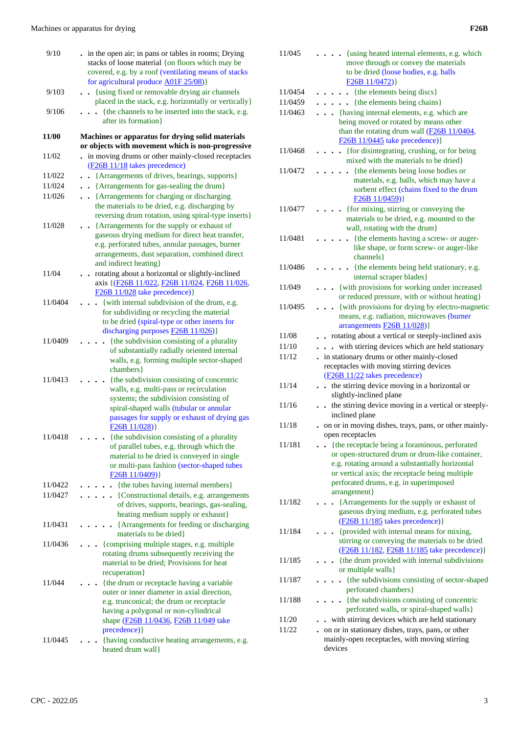| 9/10    | . in the open air; in pans or tables in rooms; Drying<br>stacks of loose material {on floors which may be<br>covered, e.g. by a roof (ventilating means of stacks             |
|---------|-------------------------------------------------------------------------------------------------------------------------------------------------------------------------------|
|         | for agricultural produce A01F 25/08)}                                                                                                                                         |
| 9/103   | {using fixed or removable drying air channels                                                                                                                                 |
|         | placed in the stack, e.g. horizontally or vertically}                                                                                                                         |
| 9/106   | {the channels to be inserted into the stack, e.g.                                                                                                                             |
|         | after its formation}                                                                                                                                                          |
| 11/00   | Machines or apparatus for drying solid materials                                                                                                                              |
| 11/02   | or objects with movement which is non-progressive<br>in moving drums or other mainly-closed receptacles                                                                       |
|         | (F26B 11/18 takes precedence)                                                                                                                                                 |
| 11/022  | {Arrangements of drives, bearings, supports}                                                                                                                                  |
| 11/024  | . . {Arrangements for gas-sealing the drum}                                                                                                                                   |
| 11/026  | • • {Arrangements for charging or discharging<br>the materials to be dried, e.g. discharging by<br>reversing drum rotation, using spiral-type inserts}                        |
| 11/028  | • {Arrangements for the supply or exhaust of                                                                                                                                  |
|         | gaseous drying medium for direct heat transfer,<br>e.g. perforated tubes, annular passages, burner<br>arrangements, dust separation, combined direct<br>and indirect heating} |
| 11/04   | rotating about a horizontal or slightly-inclined                                                                                                                              |
|         | axis {(F26B 11/022, F26B 11/024, F26B 11/026,<br>$F26B$ 11/028 take precedence)}                                                                                              |
| 11/0404 | {with internal subdivision of the drum, e.g.                                                                                                                                  |
|         | for subdividing or recycling the material                                                                                                                                     |
|         | to be dried (spiral-type or other inserts for                                                                                                                                 |
|         | discharging purposes <b>F26B 11/026</b> )}                                                                                                                                    |
| 11/0409 | {the subdivision consisting of a plurality<br>of substantially radially oriented internal                                                                                     |
|         | walls, e.g. forming multiple sector-shaped                                                                                                                                    |
|         | chambers }                                                                                                                                                                    |
| 11/0413 | {the subdivision consisting of concentric                                                                                                                                     |
|         | walls, e.g. multi-pass or recirculation<br>systems; the subdivision consisting of                                                                                             |
|         | spiral-shaped walls (tubular or annular                                                                                                                                       |
|         | passages for supply or exhaust of drying gas                                                                                                                                  |
|         | F26B11/028)                                                                                                                                                                   |
| 11/0418 | {the subdivision consisting of a plurality<br>of parallel tubes, e.g. through which the<br>material to be dried is conveyed in single                                         |
|         | or multi-pass fashion (sector-shaped tubes                                                                                                                                    |
|         | F26B11/0409)                                                                                                                                                                  |
| 11/0422 | {the tubes having internal members}                                                                                                                                           |
| 11/0427 | {Constructional details, e.g. arrangements<br>$\ddot{\phantom{0}}$                                                                                                            |
|         | of drives, supports, bearings, gas-sealing,<br>heating medium supply or exhaust}                                                                                              |
| 11/0431 | {Arrangements for feeding or discharging                                                                                                                                      |
|         | materials to be dried}                                                                                                                                                        |
| 11/0436 | {comprising multiple stages, e.g. multiple                                                                                                                                    |
|         | rotating drums subsequently receiving the                                                                                                                                     |
|         | material to be dried; Provisions for heat                                                                                                                                     |
|         | recuperation }                                                                                                                                                                |
| 11/044  | {the drum or receptacle having a variable<br>outer or inner diameter in axial direction,                                                                                      |
|         | e.g. trunconical; the drum or receptacle                                                                                                                                      |
|         | having a polygonal or non-cylindrical                                                                                                                                         |
|         | shape (F26B 11/0436, F26B 11/049 take                                                                                                                                         |
|         | precedence) }                                                                                                                                                                 |
| 11/0445 | {having conductive heating arrangements, e.g.                                                                                                                                 |
|         | heated drum wall}                                                                                                                                                             |

| 11/045  | • {using heated internal elements, e.g. which                                                                                                             |
|---------|-----------------------------------------------------------------------------------------------------------------------------------------------------------|
|         | move through or convey the materials                                                                                                                      |
|         | to be dried (loose bodies, e.g. balls<br>F26B11/0472)                                                                                                     |
| 11/0454 | {the elements being discs}<br>$\ddot{\phantom{a}}$                                                                                                        |
| 11/0459 | {the elements being chains}<br>$\ddot{\phantom{0}}$                                                                                                       |
| 11/0463 | . {having internal elements, e.g. which are                                                                                                               |
|         | being moved or rotated by means other                                                                                                                     |
|         | than the rotating drum wall (F26B 11/0404,<br>$F26B$ 11/0445 take precedence)}                                                                            |
| 11/0468 | {for disintegrating, crushing, or for being<br>$\ddot{\phantom{0}}$<br>mixed with the materials to be dried}                                              |
| 11/0472 | {the elements being loose bodies or                                                                                                                       |
|         | materials, e.g. balls, which may have a<br>sorbent effect (chains fixed to the drum<br>F26B11/0459)                                                       |
| 11/0477 | {for mixing, stirring or conveying the                                                                                                                    |
|         | materials to be dried, e.g. mounted to the<br>wall, rotating with the drum}                                                                               |
| 11/0481 | {the elements having a screw- or auger-                                                                                                                   |
|         | like shape, or form screw- or auger-like<br>channels }                                                                                                    |
| 11/0486 | {the elements being held stationary, e.g.<br>internal scraper blades}                                                                                     |
| 11/049  | {with provisions for working under increased<br>$\ddot{\phantom{0}}$                                                                                      |
|         | or reduced pressure, with or without heating}                                                                                                             |
| 11/0495 | {with provisions for drying by electro-magnetic<br>$\ddot{\phantom{0}}$<br>means, e.g. radiation, microwaves (burner<br>arrangements <b>F26B</b> 11/028)} |
| 11/08   | . . rotating about a vertical or steeply-inclined axis                                                                                                    |
| 11/10   | . with stirring devices which are held stationary                                                                                                         |
| 11/12   | . in stationary drums or other mainly-closed                                                                                                              |
|         | receptacles with moving stirring devices<br>(F26B 11/22 takes precedence)                                                                                 |
| 11/14   | the stirring device moving in a horizontal or<br>$\ddot{\phantom{0}}$                                                                                     |
| 11/16   | slightly-inclined plane<br>. . the stirring device moving in a vertical or steeply-                                                                       |
|         | inclined plane                                                                                                                                            |
| 11/18   | . on or in moving dishes, trays, pans, or other mainly-<br>open receptacles                                                                               |
| 11/181  | • {the receptacle being a foraminous, perforated                                                                                                          |
|         | or open-structured drum or drum-like container,                                                                                                           |
|         | e.g. rotating around a substantially horizontal                                                                                                           |
|         | or vertical axis; the receptacle being multiple                                                                                                           |
|         | perforated drums, e.g. in superimposed<br>arrangement}                                                                                                    |
| 11/182  | {Arrangements for the supply or exhaust of                                                                                                                |
|         | gaseous drying medium, e.g. perforated tubes<br>$(F26B 11/185$ takes precedence)}                                                                         |
| 11/184  | {provided with internal means for mixing,                                                                                                                 |
|         | stirring or conveying the materials to be dried<br>(F26B 11/182, F26B 11/185 take precedence)}                                                            |
| 11/185  | {the drum provided with internal subdivisions<br>or multiple walls}                                                                                       |
| 11/187  | {the subdivisions consisting of sector-shaped<br>$\ddot{\phantom{0}}$                                                                                     |
| 11/188  | perforated chambers}<br>{the subdivisions consisting of concentric                                                                                        |
|         | perforated walls, or spiral-shaped walls}                                                                                                                 |
| 11/20   | with stirring devices which are held stationary                                                                                                           |
| 11/22   | on or in stationary dishes, trays, pans, or other                                                                                                         |
|         | mainly-open receptacles, with moving stirring                                                                                                             |
|         | devices                                                                                                                                                   |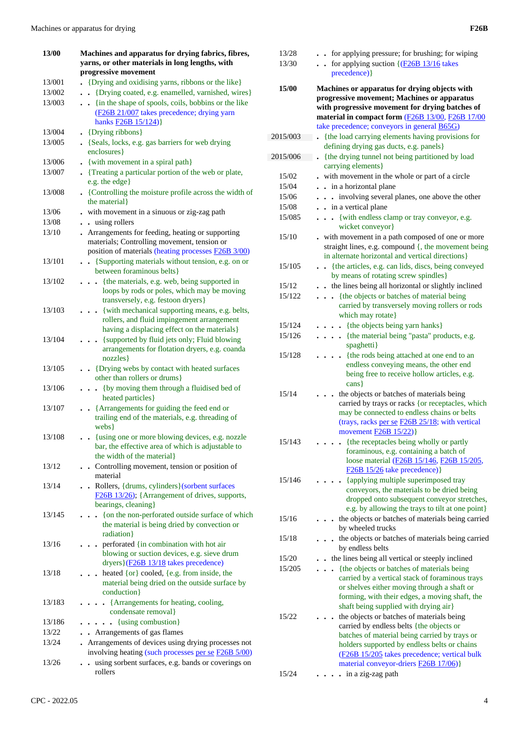| 13/00  | Machines and apparatus for drying fabrics, fibres,                                                   |  |
|--------|------------------------------------------------------------------------------------------------------|--|
|        | yarns, or other materials in long lengths, with                                                      |  |
|        | progressive movement                                                                                 |  |
| 13/001 | {Drying and oxidising yarns, ribbons or the like}                                                    |  |
| 13/002 | {Drying coated, e.g. enamelled, varnished, wires}                                                    |  |
| 13/003 | . {in the shape of spools, coils, bobbins or the like                                                |  |
|        | (F26B 21/007 takes precedence; drying yarn                                                           |  |
|        | hanks $F26B$ 15/124)                                                                                 |  |
| 13/004 | • {Drying ribbons}                                                                                   |  |
| 13/005 | • {Seals, locks, e.g. gas barriers for web drying                                                    |  |
|        | enclosures }                                                                                         |  |
| 13/006 | - {with movement in a spiral path}                                                                   |  |
| 13/007 | . {Treating a particular portion of the web or plate,                                                |  |
|        | e.g. the edge}                                                                                       |  |
| 13/008 | • {Controlling the moisture profile across the width of                                              |  |
|        | the material }                                                                                       |  |
| 13/06  | - with movement in a sinuous or zig-zag path                                                         |  |
| 13/08  | using rollers                                                                                        |  |
| 13/10  | Arrangements for feeding, heating or supporting                                                      |  |
|        | materials; Controlling movement, tension or<br>position of materials (heating processes F26B 3/00)   |  |
| 13/101 | • · {Supporting materials without tension, e.g. on or                                                |  |
|        | between foraminous belts }                                                                           |  |
| 13/102 | {the materials, e.g. web, being supported in<br>$\cdots$                                             |  |
|        | loops by rods or poles, which may be moving                                                          |  |
|        | transversely, e.g. festoon dryers}                                                                   |  |
| 13/103 | {with mechanical supporting means, e.g. belts,                                                       |  |
|        | rollers, and fluid impingement arrangement                                                           |  |
|        | having a displacing effect on the materials}                                                         |  |
| 13/104 | . {supported by fluid jets only; Fluid blowing                                                       |  |
|        | arrangements for flotation dryers, e.g. coanda                                                       |  |
|        | nozzles}                                                                                             |  |
| 13/105 | . . {Drying webs by contact with heated surfaces                                                     |  |
|        | other than rollers or drums}                                                                         |  |
| 13/106 | • {by moving them through a fluidised bed of                                                         |  |
|        | heated particles}                                                                                    |  |
| 13/107 | {Arrangements for guiding the feed end or<br>$\ddot{\phantom{a}}$                                    |  |
|        | trailing end of the materials, e.g. threading of                                                     |  |
|        | webs }                                                                                               |  |
| 13/108 | {using one or more blowing devices, e.g. nozzle<br>bar, the effective area of which is adjustable to |  |
|        | the width of the material}                                                                           |  |
| 13/12  | • Controlling movement, tension or position of                                                       |  |
|        | material                                                                                             |  |
| 13/14  | Rollers, {drums, cylinders}(sorbent surfaces                                                         |  |
|        | F26B 13/26); {Arrangement of drives, supports,                                                       |  |
|        | bearings, cleaning}                                                                                  |  |
| 13/145 | {on the non-perforated outside surface of which                                                      |  |
|        | the material is being dried by convection or                                                         |  |
|        | radiation}                                                                                           |  |
| 13/16  | perforated {in combination with hot air<br>$\ddot{\phantom{0}}$                                      |  |
|        | blowing or suction devices, e.g. sieve drum                                                          |  |
|        | dryers } (F26B 13/18 takes precedence)                                                               |  |
| 13/18  | heated {or} cooled, {e.g. from inside, the                                                           |  |
|        | material being dried on the outside surface by                                                       |  |
|        | conduction}                                                                                          |  |
| 13/183 | {Arrangements for heating, cooling,<br>$\ddot{\phantom{a}}$                                          |  |
|        | condensate removal}                                                                                  |  |
| 13/186 | {using combustion}<br>$\sim$                                                                         |  |
| 13/22  | . Arrangements of gas flames                                                                         |  |
| 13/24  | Arrangements of devices using drying processes not                                                   |  |
|        | involving heating (such processes per se F26B 5/00)                                                  |  |
| 13/26  | using sorbent surfaces, e.g. bands or coverings on<br>rollers                                        |  |
|        |                                                                                                      |  |

| 13/28    | - for applying pressure; for brushing; for wiping                                             |
|----------|-----------------------------------------------------------------------------------------------|
| 13/30    | for applying suction $\{(\underline{F26B 13/16} \text{ takes}$                                |
|          | precedence) }                                                                                 |
|          |                                                                                               |
| 15/00    | Machines or apparatus for drying objects with<br>progressive movement; Machines or apparatus  |
|          | with progressive movement for drying batches of                                               |
|          | material in compact form (F26B 13/00, F26B 17/00                                              |
|          | take precedence; conveyors in general B65G)                                                   |
| 2015/003 | the load carrying elements having provisions for                                              |
|          | defining drying gas ducts, e.g. panels }                                                      |
| 2015/006 | . {the drying tunnel not being partitioned by load                                            |
|          | carrying elements}                                                                            |
| 15/02    | with movement in the whole or part of a circle                                                |
| 15/04    | . in a horizontal plane                                                                       |
| 15/06    | involving several planes, one above the other<br>$\ddot{\phantom{a}}$<br>$\ddot{\phantom{0}}$ |
| 15/08    | . . in a vertical plane                                                                       |
| 15/085   | {with endless clamp or tray conveyor, e.g.<br>.                                               |
|          | wicket conveyor}                                                                              |
| 15/10    | . with movement in a path composed of one or more                                             |
|          | straight lines, e.g. compound {, the movement being                                           |
|          | in alternate horizontal and vertical directions }                                             |
| 15/105   | • {the articles, e.g. can lids, discs, being conveyed                                         |
|          | by means of rotating screw spindles}                                                          |
| 15/12    | the lines being all horizontal or slightly inclined<br>$\ddot{\phantom{a}}$                   |
| 15/122   | {the objects or batches of material being<br>$\ddot{\phantom{0}}$                             |
|          | carried by transversely moving rollers or rods                                                |
|          | which may rotate}                                                                             |
| 15/124   | . {the objects being yarn hanks}                                                              |
| 15/126   | {the material being "pasta" products, e.g.<br>$\ddot{\phantom{0}}$                            |
|          | spaghetti}                                                                                    |
| 15/128   | {the rods being attached at one end to an<br>endless conveying means, the other end           |
|          | being free to receive hollow articles, e.g.                                                   |
|          | cans                                                                                          |
| 15/14    | the objects or batches of materials being                                                     |
|          | carried by trays or racks {or receptacles, which                                              |
|          | may be connected to endless chains or belts                                                   |
|          | (trays, racks per se F26B 25/18; with vertical                                                |
|          | movement <b>F26B</b> 15/22)}                                                                  |
| 15/143   | the receptacles being wholly or partly                                                        |
|          | foraminous, e.g. containing a batch of                                                        |
|          | loose material (F26B 15/146, F26B 15/205,                                                     |
|          | $F26B$ 15/26 take precedence) }                                                               |
| 15/146   | {applying multiple superimposed tray<br>conveyors, the materials to be dried being            |
|          | dropped onto subsequent conveyor stretches,                                                   |
|          | e.g. by allowing the trays to tilt at one point}                                              |
| 15/16    | the objects or batches of materials being carried                                             |
|          | by wheeled trucks                                                                             |
| 15/18    | the objects or batches of materials being carried                                             |
|          | by endless belts                                                                              |
| 15/20    | the lines being all vertical or steeply inclined                                              |
| 15/205   | {the objects or batches of materials being                                                    |
|          | carried by a vertical stack of foraminous trays                                               |
|          | or shelves either moving through a shaft or                                                   |
|          | forming, with their edges, a moving shaft, the                                                |
|          | shaft being supplied with drying air}                                                         |
| 15/22    | the objects or batches of materials being                                                     |
|          | carried by endless belts {the objects or                                                      |
|          | batches of material being carried by trays or<br>holders supported by endless belts or chains |
|          | (F26B 15/205 takes precedence; vertical bulk                                                  |
|          | material conveyor-driers <b>F26B</b> 17/06)}                                                  |
|          |                                                                                               |

15/24 **. . . .** in a zig-zag path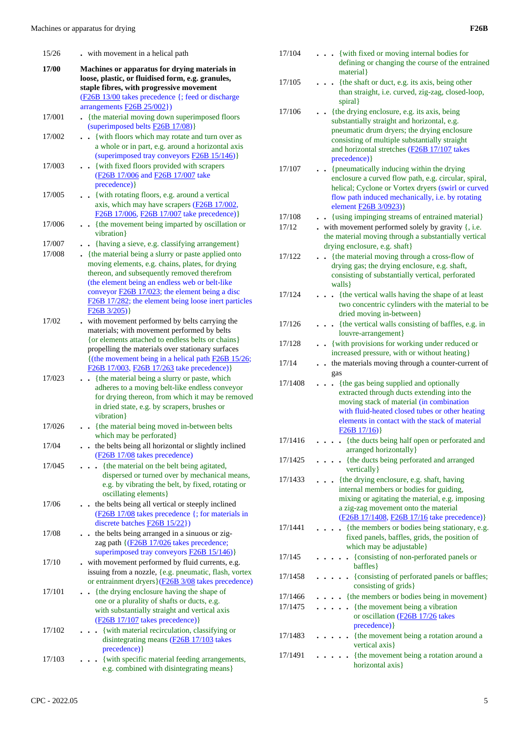| 15/26  | - with movement in a helical path                                                                                                                                                                                                                                                                                                            |
|--------|----------------------------------------------------------------------------------------------------------------------------------------------------------------------------------------------------------------------------------------------------------------------------------------------------------------------------------------------|
| 17/00  | Machines or apparatus for drying materials in<br>loose, plastic, or fluidised form, e.g. granules,<br>staple fibres, with progressive movement                                                                                                                                                                                               |
|        | (F26B 13/00 takes precedence {; feed or discharge<br>arrangements F26B 25/002})                                                                                                                                                                                                                                                              |
| 17/001 | - {the material moving down superimposed floors<br>(superimposed belts F26B 17/08)}                                                                                                                                                                                                                                                          |
| 17/002 | {with floors which may rotate and turn over as<br>$\ddot{\phantom{a}}$<br>a whole or in part, e.g. around a horizontal axis<br>(superimposed tray conveyors <b>F26B 15/146</b> )}                                                                                                                                                            |
| 17/003 | . . {with fixed floors provided with scrapers<br>(F <sub>26</sub> B 17/006 and F <sub>26</sub> B 17/007 take<br>precedence) }                                                                                                                                                                                                                |
| 17/005 | • {with rotating floors, e.g. around a vertical<br>axis, which may have scrapers (F26B 17/002,<br>F26B 17/006, F26B 17/007 take precedence) }                                                                                                                                                                                                |
| 17/006 | {the movement being imparted by oscillation or<br>$\ddot{\phantom{a}}$<br>vibration}                                                                                                                                                                                                                                                         |
| 17/007 | . {having a sieve, e.g. classifying arrangement}                                                                                                                                                                                                                                                                                             |
| 17/008 | - {the material being a slurry or paste applied onto<br>moving elements, e.g. chains, plates, for drying<br>thereon, and subsequently removed therefrom<br>(the element being an endless web or belt-like<br>conveyor <b>F26B</b> 17/023; the element being a disc<br>F26B 17/282; the element being loose inert particles<br>$F26B\ 3/205)$ |
| 17/02  | with movement performed by belts carrying the<br>materials; with movement performed by belts<br>{or elements attached to endless belts or chains}<br>propelling the materials over stationary surfaces<br>{(the movement being in a helical path F26B 15/26;<br>F26B 17/003, F26B 17/263 take precedence)}                                   |
| 17/023 | {the material being a slurry or paste, which<br>adheres to a moving belt-like endless conveyor<br>for drying thereon, from which it may be removed<br>in dried state, e.g. by scrapers, brushes or<br>vibration}                                                                                                                             |
| 17/026 | {the material being moved in-between belts<br>which may be perforated}                                                                                                                                                                                                                                                                       |
| 17/04  | the belts being all horizontal or slightly inclined<br>(F26B 17/08 takes precedence)                                                                                                                                                                                                                                                         |
| 17/045 | {the material on the belt being agitated,<br>dispersed or turned over by mechanical means,<br>e.g. by vibrating the belt, by fixed, rotating or<br>oscillating elements }                                                                                                                                                                    |
| 17/06  | the belts being all vertical or steeply inclined<br>(F26B 17/08 takes precedence {; for materials in<br>discrete batches $F26B15/22$ })                                                                                                                                                                                                      |
| 17/08  | the belts being arranged in a sinuous or zig-<br>zag path {(F26B 17/026 takes precedence;<br>superimposed tray conveyors <b>F26B</b> 15/146)}                                                                                                                                                                                                |
| 17/10  | with movement performed by fluid currents, e.g.<br>issuing from a nozzle, {e.g. pneumatic, flash, vortex<br>or entrainment dryers}(F26B 3/08 takes precedence)                                                                                                                                                                               |
| 17/101 | {the drying enclosure having the shape of<br>one or a plurality of shafts or ducts, e.g.<br>with substantially straight and vertical axis<br>(F26B 17/107 takes precedence) }                                                                                                                                                                |
| 17/102 | {with material recirculation, classifying or<br>disintegrating means (F26B 17/103 takes<br>precedence) }                                                                                                                                                                                                                                     |
| 17/103 | {with specific material feeding arrangements,<br>e.g. combined with disintegrating means}                                                                                                                                                                                                                                                    |

|                 | defining or changing the course of the entrained                                                                     |
|-----------------|----------------------------------------------------------------------------------------------------------------------|
| 17/105          | material }<br>{the shaft or duct, e.g. its axis, being other                                                         |
|                 | than straight, i.e. curved, zig-zag, closed-loop,                                                                    |
|                 | spiral }                                                                                                             |
| 17/106          | {the drying enclosure, e.g. its axis, being                                                                          |
|                 | substantially straight and horizontal, e.g.<br>pneumatic drum dryers; the drying enclosure                           |
|                 | consisting of multiple substantially straight                                                                        |
|                 | and horizontal stretches (F26B 17/107 takes                                                                          |
|                 | precedence) }                                                                                                        |
| 17/107          | • {pneumatically inducing within the drying<br>enclosure a curved flow path, e.g. circular, spiral,                  |
|                 | helical; Cyclone or Vortex dryers (swirl or curved                                                                   |
|                 | flow path induced mechanically, i.e. by rotating                                                                     |
|                 | element <b>F26B</b> 3/0923)                                                                                          |
| 17/108<br>17/12 | - {using impinging streams of entrained material}<br>$\bullet$ with movement performed solely by gravity $\{$ , i.e. |
|                 | the material moving through a substantially vertical                                                                 |
|                 | drying enclosure, e.g. shaft}                                                                                        |
| 17/122          | • {the material moving through a cross-flow of                                                                       |
|                 | drying gas; the drying enclosure, e.g. shaft,<br>consisting of substantially vertical, perforated                    |
|                 | walls }                                                                                                              |
| 17/124          | . . {the vertical walls having the shape of at least                                                                 |
|                 | two concentric cylinders with the material to be<br>dried moving in-between}                                         |
| 17/126          | {the vertical walls consisting of baffles, e.g. in                                                                   |
|                 | louvre-arrangement}                                                                                                  |
| 17/128          | . . {with provisions for working under reduced or<br>increased pressure, with or without heating}                    |
| 17/14           | the materials moving through a counter-current of                                                                    |
|                 | gas                                                                                                                  |
| 17/1408         | {the gas being supplied and optionally<br>$\mathbf{r}$                                                               |
|                 | extracted through ducts extending into the<br>moving stack of material (in combination                               |
|                 | with fluid-heated closed tubes or other heating                                                                      |
|                 | elements in contact with the stack of material                                                                       |
| 17/1416         | F26B17/16<br>. {the ducts being half open or perforated and                                                          |
|                 | arranged horizontally }                                                                                              |
| 17/1425         | {the ducts being perforated and arranged                                                                             |
|                 | vertically }                                                                                                         |
| 17/1433         | {the drying enclosure, e.g. shaft, having<br>internal members or bodies for guiding,                                 |
|                 | mixing or agitating the material, e.g. imposing                                                                      |
|                 | a zig-zag movement onto the material                                                                                 |
| 17/1441         | (F26B 17/1408, F26B 17/16 take precedence)}<br>{the members or bodies being stationary, e.g.                         |
|                 | fixed panels, baffles, grids, the position of                                                                        |
|                 | which may be adjustable}                                                                                             |
| 17/145          | {consisting of non-perforated panels or<br>baffles }                                                                 |
| 17/1458         | . {consisting of perforated panels or baffles;                                                                       |
|                 | consisting of grids}                                                                                                 |
| 17/1466         | {the members or bodies being in movement}                                                                            |
| 17/1475         | {the movement being a vibration<br>or oscillation (F26B 17/26 takes                                                  |
|                 | precedence) }                                                                                                        |
| 17/1483         | {the movement being a rotation around a                                                                              |
|                 | vertical axis}                                                                                                       |
| 17/1491         | {the movement being a rotation around a<br>horizontal axis}                                                          |
|                 |                                                                                                                      |

17/104 **. . .** {with fixed or moving internal bodies for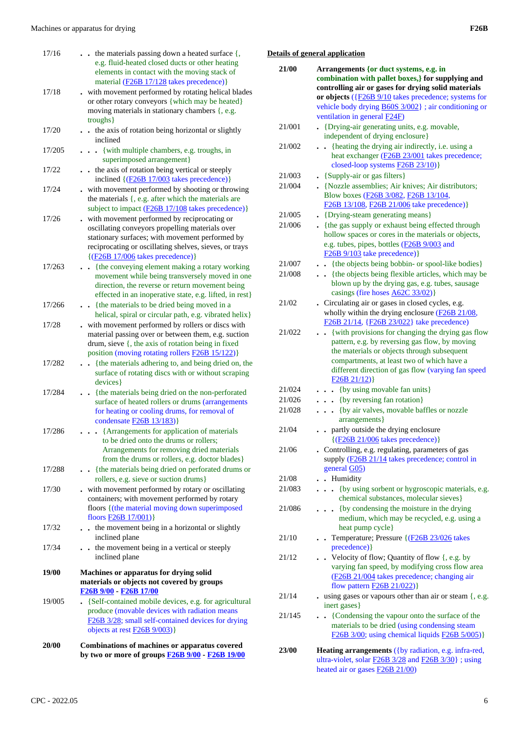| 20/00  | Combinations of machines or apparatus covered<br>by two or more of groups <b>F26B 9/00</b> - F26B 19/00                                                                                                                                                             |
|--------|---------------------------------------------------------------------------------------------------------------------------------------------------------------------------------------------------------------------------------------------------------------------|
| 19/005 | • {Self-contained mobile devices, e.g. for agricultural<br>produce (movable devices with radiation means<br>F26B 3/28; small self-contained devices for drying<br>objects at rest $F26B 9/003$ )                                                                    |
| 19/00  | Machines or apparatus for drying solid<br>materials or objects not covered by groups<br>F <sub>26</sub> B 9/00 F <sub>26</sub> B 17/00                                                                                                                              |
| 17/34  | . . the movement being in a vertical or steeply<br>inclined plane                                                                                                                                                                                                   |
| 17/32  | . the movement being in a horizontal or slightly<br>inclined plane                                                                                                                                                                                                  |
| 17/30  | with movement performed by rotary or oscillating<br>containers; with movement performed by rotary<br>floors { (the material moving down superimposed<br>floors <b>F26B</b> 17/001)}                                                                                 |
| 17/288 | Arrangements for removing dried materials<br>from the drums or rollers, e.g. doctor blades}<br>- {the materials being dried on perforated drums or<br>rollers, e.g. sieve or suction drums}                                                                         |
| 17/286 | condensate F26B 13/183)}<br>. Arrangements for application of materials<br>to be dried onto the drums or rollers;                                                                                                                                                   |
| 17/284 | • {the materials being dried on the non-perforated<br>surface of heated rollers or drums (arrangements<br>for heating or cooling drums, for removal of                                                                                                              |
| 17/282 | {the materials adhering to, and being dried on, the<br>$\ddot{\phantom{a}}$<br>surface of rotating discs with or without scraping<br>devices}                                                                                                                       |
|        | material passing over or between them, e.g. suction<br>drum, sieve {, the axis of rotation being in fixed<br>position (moving rotating rollers <b>F26B 15/122</b> )}                                                                                                |
| 17/28  | helical, spiral or circular path, e.g. vibrated helix}<br>with movement performed by rollers or discs with                                                                                                                                                          |
| 17/266 | direction, the reverse or return movement being<br>effected in an inoperative state, e.g. lifted, in rest}<br>{the materials to be dried being moved in a                                                                                                           |
| 17/263 | stationary surfaces; with movement performed by<br>reciprocating or oscillating shelves, sieves, or trays<br>$\{(\underline{F26B} 17/006}$ takes precedence)}<br>• {the conveying element making a rotary working<br>movement while being transversely moved in one |
| 17/26  | subject to impact (F26B 17/108 takes precedence)}<br>with movement performed by reciprocating or<br>oscillating conveyors propelling materials over                                                                                                                 |
| 17/24  | inclined {(F26B 17/003 takes precedence)}<br>with movement performed by shooting or throwing<br>the materials $\{$ , e.g. after which the materials are                                                                                                             |
| 17/22  | superimposed arrangement}<br>the axis of rotation being vertical or steeply<br>$\ddot{\phantom{0}}$                                                                                                                                                                 |
| 17/205 | inclined<br>. { with multiple chambers, e.g. troughs, in                                                                                                                                                                                                            |
| 17/20  | moving materials in stationary chambers {, e.g.<br>troughs}<br>. the axis of rotation being horizontal or slightly                                                                                                                                                  |
| 17/18  | material (F26B 17/128 takes precedence)}<br>. with movement performed by rotating helical blades<br>or other rotary conveyors {which may be heated}                                                                                                                 |
| 17/16  | $\bullet$ $\bullet$ the materials passing down a heated surface $\{$ ,<br>e.g. fluid-heated closed ducts or other heating<br>elements in contact with the moving stack of                                                                                           |

### **Details of general application**

| 21/00  | Arrangements {or duct systems, e.g. in                                                                                                                                                                                                                                                       |
|--------|----------------------------------------------------------------------------------------------------------------------------------------------------------------------------------------------------------------------------------------------------------------------------------------------|
|        | combination with pallet boxes, for supplying and                                                                                                                                                                                                                                             |
|        | controlling air or gases for drying solid materials                                                                                                                                                                                                                                          |
|        | or objects $(\text{F26B 9/10})$ takes precedence; systems for                                                                                                                                                                                                                                |
|        | vehicle body drying <b>B60S</b> 3/002}; air conditioning or<br>ventilation in general <b>F24F</b> )                                                                                                                                                                                          |
| 21/001 | • {Drying-air generating units, e.g. movable,                                                                                                                                                                                                                                                |
|        | independent of drying enclosure}                                                                                                                                                                                                                                                             |
| 21/002 | {heating the drying air indirectly, i.e. using a<br>heat exchanger (F26B 23/001 takes precedence;<br>closed-loop systems <b>F26B 23/10</b> )}                                                                                                                                                |
| 21/003 | • {Supply-air or gas filters}                                                                                                                                                                                                                                                                |
| 21/004 | . {Nozzle assemblies; Air knives; Air distributors;                                                                                                                                                                                                                                          |
|        | Blow boxes (F26B 3/082, F26B 13/104,<br>F26B 13/108, F26B 21/006 take precedence)}                                                                                                                                                                                                           |
| 21/005 | • {Drying-steam generating means}                                                                                                                                                                                                                                                            |
| 21/006 | - {the gas supply or exhaust being effected through<br>hollow spaces or cores in the materials or objects,<br>e.g. tubes, pipes, bottles (F26B 9/003 and<br>$F26B$ 9/103 take precedence)}                                                                                                   |
| 21/007 | . {the objects being bobbin- or spool-like bodies}                                                                                                                                                                                                                                           |
| 21/008 | . {the objects being flexible articles, which may be<br>blown up by the drying gas, e.g. tubes, sausage<br>casings (fire hoses A62C 33/02)}                                                                                                                                                  |
| 21/02  | Circulating air or gases in closed cycles, e.g.<br>wholly within the drying enclosure (F26B 21/08,<br>F26B 21/14, {F26B 23/022} take precedence)                                                                                                                                             |
| 21/022 | {with provisions for changing the drying gas flow<br>$\ddot{\phantom{a}}$<br>pattern, e.g. by reversing gas flow, by moving<br>the materials or objects through subsequent<br>compartments, at least two of which have a<br>different direction of gas flow (varying fan speed<br>F26B21/12) |
| 21/024 | {by using movable fan units}                                                                                                                                                                                                                                                                 |
| 21/026 | {by reversing fan rotation}<br>$\ddot{\phantom{0}}$                                                                                                                                                                                                                                          |
| 21/028 | {by air valves, movable baffles or nozzle                                                                                                                                                                                                                                                    |
|        | $\ddot{\phantom{0}}$<br>arrangements}                                                                                                                                                                                                                                                        |
| 21/04  | partly outside the drying enclosure<br>$\{(\underline{F26B 21/006} \text{ takes precedence})\}$                                                                                                                                                                                              |
| 21/06  | . Controlling, e.g. regulating, parameters of gas<br>supply (F26B 21/14 takes precedence; control in<br>general G05)                                                                                                                                                                         |
| 21/08  | . Humidity                                                                                                                                                                                                                                                                                   |
| 21/083 | {by using sorbent or hygroscopic materials, e.g.<br>chemical substances, molecular sieves}                                                                                                                                                                                                   |
| 21/086 | {by condensing the moisture in the drying<br>medium, which may be recycled, e.g. using a<br>heat pump cycle}                                                                                                                                                                                 |
| 21/10  | • Temperature; Pressure $\left( \frac{F26B23/026}{F26B23}\right)$ takes<br>precedence) }                                                                                                                                                                                                     |
| 21/12  | • Velocity of flow; Quantity of flow {, e.g. by<br>varying fan speed, by modifying cross flow area<br>(F26B 21/004 takes precedence; changing air<br>flow pattern <b>F26B 21/022</b> )}                                                                                                      |
| 21/14  | $.$ using gases or vapours other than air or steam $\{, e.g. \}$<br>inert gases}                                                                                                                                                                                                             |
| 21/145 | {Condensing the vapour onto the surface of the<br>materials to be dried (using condensing steam<br>F26B 3/00; using chemical liquids F26B 5/005)}                                                                                                                                            |
| 23/00  | Heating arrangements ({by radiation, e.g. infra-red,<br>ultra-violet, solar $F26B$ 3/28 and $F26B$ 3/30}; using<br>heated air or gases <b>F26B 21/00</b> )                                                                                                                                   |